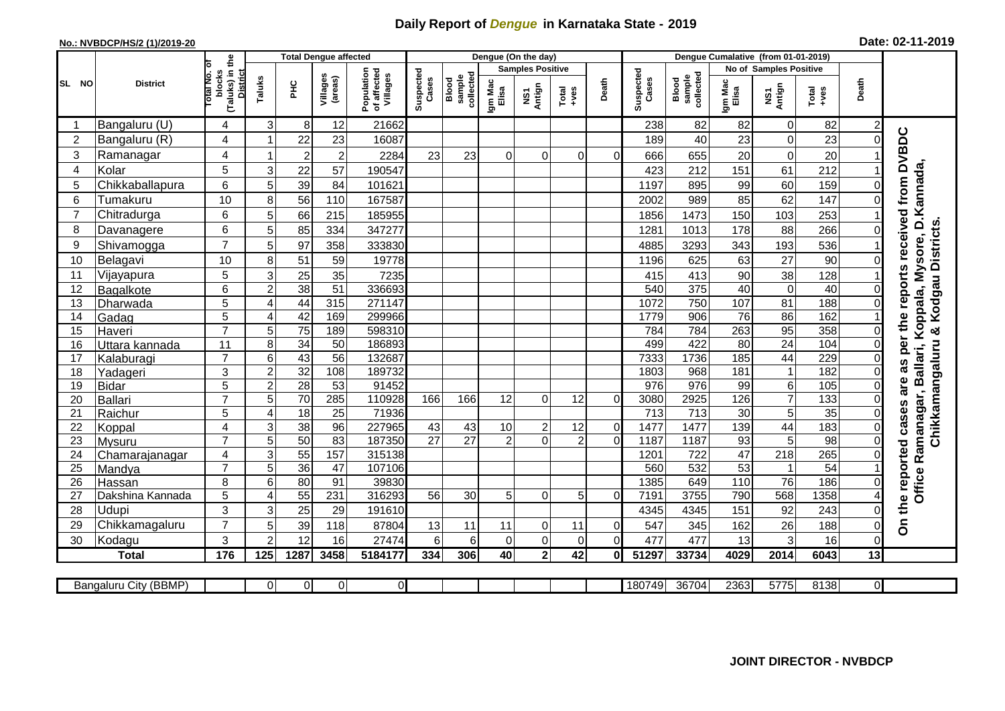## **Daily Report of** *Dengue* **in Karnataka State - 2019**

## **No.: NVBDCP/HS/2 (1)/2019-20 Date: 02-11-2019**

|                |                       |                                                       | <b>Total Dengue affected</b> |                       |                     |                                       |                    |                              | Dengue (On the day)     |                |                  |                |                    |                              |                       |                         |                        |                |                                        |
|----------------|-----------------------|-------------------------------------------------------|------------------------------|-----------------------|---------------------|---------------------------------------|--------------------|------------------------------|-------------------------|----------------|------------------|----------------|--------------------|------------------------------|-----------------------|-------------------------|------------------------|----------------|----------------------------------------|
|                |                       |                                                       |                              |                       |                     |                                       |                    |                              | <b>Samples Positive</b> |                |                  |                |                    |                              |                       | No of Samples Positive  |                        |                |                                        |
| SL NO          | <b>District</b>       | (Taluks) in the<br>lotal No. of<br>blocks<br>District | Taluks                       | ΞÉ                    | Villages<br>(areas) | Population<br>of affected<br>Villages | Suspected<br>Cases | collected<br>sample<br>Blood | Igm Mac<br>Elisa        | NS1<br>Antign  | $Tota$<br>$+ves$ | Death          | Suspected<br>Cases | collected<br>sample<br>Blood | Igm Mac<br>Elisa      | NS1<br>Antign           | $Tota$<br>$+ves$       | Death          |                                        |
|                | Bangaluru (U)         | 4                                                     | 3                            | 8                     | 12                  | 21662                                 |                    |                              |                         |                |                  |                | 238                | 82                           | 82                    | $\overline{0}$          | 82                     | $\overline{c}$ |                                        |
| $\overline{2}$ | Bangaluru (R)         | 4                                                     |                              | 22                    | 23                  | 16087                                 |                    |                              |                         |                |                  |                | 189                | 40                           | 23                    | $\mathbf 0$             | 23                     | $\Omega$       | as per the reports received from DVBDC |
| 3              | Ramanagar             | 4                                                     |                              | $\overline{2}$        | $\overline{c}$      | 2284                                  | 23                 | 23                           | $\Omega$                | 0              | $\Omega$         | $\Omega$       | 666                | 655                          | 20                    | $\mathbf 0$             | 20                     |                |                                        |
| 4              | Kolar                 | 5                                                     | 3                            | 22                    | 57                  | 190547                                |                    |                              |                         |                |                  |                | 423                | 212                          | 151                   | 61                      | 212                    |                |                                        |
| 5              | Chikkaballapura       | $6\phantom{1}$                                        | 5                            | 39                    | 84                  | 101621                                |                    |                              |                         |                |                  |                | 1197               | 895                          | 99                    | 60                      | 159                    | 0              | Ballari, Koppala, Mysore, D.Kannada,   |
| 6              | Tumakuru              | 10                                                    | 8                            | 56                    | 110                 | 167587                                |                    |                              |                         |                |                  |                | 2002               | 989                          | 85                    | 62                      | 147                    | $\Omega$       |                                        |
| 7              | Chitradurga           | 6                                                     | 5                            | 66                    | 215                 | 185955                                |                    |                              |                         |                |                  |                | 1856               | 1473                         | 150                   | 103                     | 253                    |                |                                        |
| 8              | Davanagere            | 6                                                     | 5                            | 85                    | 334                 | 347277                                |                    |                              |                         |                |                  |                | 1281               | 1013                         | 178                   | 88                      | 266                    | $\Omega$       |                                        |
| 9              | Shivamogga            | $\overline{7}$                                        | 5                            | 97                    | 358                 | 333830                                |                    |                              |                         |                |                  |                | 4885               | 3293                         | 343                   | 193                     | 536                    |                | Chikkamangaluru & Kodgau Districts     |
| 10             | Belagavi              | 10                                                    | 8                            | 51                    | 59                  | 19778                                 |                    |                              |                         |                |                  |                | 1196               | 625                          | 63                    | 27                      | 90                     | $\Omega$       |                                        |
| 11             | Vijayapura            | 5                                                     | $\mathbf{3}$                 | 25                    | 35                  | 7235                                  |                    |                              |                         |                |                  |                | 415                | 413                          | 90                    | 38                      | 128                    |                |                                        |
| 12             | Bagalkote             | 6                                                     | $\overline{c}$               | 38                    | $\overline{51}$     | 336693                                |                    |                              |                         |                |                  |                | 540                | 375                          | 40                    | $\overline{\mathsf{o}}$ | 40                     | 0              |                                        |
| 13             | Dharwada              | $\overline{5}$                                        | $\overline{4}$               | 44                    | 315                 | 271147                                |                    |                              |                         |                |                  |                | 1072               | 750                          | 107                   | 81                      | 188                    | $\mathbf 0$    |                                        |
| 14             | Gadag                 | $\overline{5}$                                        | 4                            | 42                    | 169                 | 299966                                |                    |                              |                         |                |                  |                | 1779               | 906                          | 76                    | $\overline{86}$         | 162                    |                |                                        |
| 15             | Haveri                | $\overline{7}$                                        | 5                            | $\overline{75}$       | 189                 | 598310                                |                    |                              |                         |                |                  |                | 784                | 784                          | 263                   | 95                      | 358                    | $\mathbf 0$    |                                        |
| 16             | Uttara kannada        | 11                                                    | 8                            | 34                    | 50                  | 186893                                |                    |                              |                         |                |                  |                | 499                | 422                          | 80                    | $\overline{24}$         | 104                    | 0              |                                        |
| 17             | Kalaburagi            | $\overline{7}$                                        | 6                            | 43                    | 56                  | 132687                                |                    |                              |                         |                |                  |                | 7333               | 1736                         | 185                   | 44                      | 229                    | 0              |                                        |
| 18             | Yadageri              | 3                                                     | $\overline{2}$               | 32                    | 108                 | 189732                                |                    |                              |                         |                |                  |                | 1803               | 968                          | 181                   | $\mathbf{1}$            | 182                    | 0              |                                        |
| 19             | <b>Bidar</b>          | 5                                                     | $\boldsymbol{2}$             | 28                    | 53                  | 91452                                 |                    |                              |                         |                |                  |                | 976                | 976                          | 99                    | $\overline{6}$          | 105                    | $\Omega$       | are                                    |
| 20             | Ballari               | $\overline{7}$                                        | $\overline{5}$               | 70                    | 285                 | 110928                                | 166                | 166                          | 12                      | $\Omega$       | 12               | $\Omega$       | 3080               | 2925                         | 126                   | $\overline{7}$          | 133                    | $\Omega$       |                                        |
| 21             | Raichur               | 5                                                     | $\overline{4}$               | $\overline{18}$       | $\overline{25}$     | 71936                                 |                    |                              |                         |                |                  |                | 713                | $\overline{713}$             | $\overline{30}$       | 5                       | 35                     | $\Omega$       | Ramanagar,<br>cases                    |
| 22             | Koppal                | 4                                                     | 3                            | 38                    | $\overline{96}$     | 227965                                | 43                 | 43                           | 10                      | $\overline{c}$ | 12               | $\overline{0}$ | 1477               | 1477                         | 139                   | 44                      | 183                    | 0              |                                        |
| 23             | Mysuru                | $\overline{7}$                                        | 5                            | 50                    | 83                  | 187350                                | $\overline{27}$    | $\overline{27}$              | $\overline{2}$          | $\Omega$       | $\overline{2}$   | $\Omega$       | 1187               | 1187                         | 93                    | $\overline{5}$          | $\overline{98}$        | $\overline{0}$ |                                        |
| 24             | Chamarajanagar        | 4<br>$\overline{7}$                                   | 3<br>5                       | 55                    | 157                 | 315138<br>107106                      |                    |                              |                         |                |                  |                | 1201               | 722<br>532                   | 47<br>$\overline{53}$ | 218                     | 265<br>$\overline{54}$ | 0              |                                        |
| 25<br>26       | Mandya<br>Hassan      | 8                                                     | 6                            | $\overline{36}$<br>80 | 47<br>91            | 39830                                 |                    |                              |                         |                |                  |                | 560<br>1385        | 649                          | 110                   | $\mathbf{1}$<br>76      | 186                    | $\Omega$       |                                        |
| 27             | Dakshina Kannada      | 5                                                     | 4                            | 55                    | 231                 | 316293                                | 56                 | 30                           | 5                       | 0              | 5                | $\overline{0}$ | 7191               | 3755                         | 790                   | 568                     | 1358                   | 4              | Office                                 |
| 28             | Udupi                 | 3                                                     | 3                            | 25                    | 29                  | 191610                                |                    |                              |                         |                |                  |                | 4345               | 4345                         | 151                   | 92                      | 243                    | 0              |                                        |
| 29             | Chikkamagaluru        | $\overline{7}$                                        | 5                            | 39                    | 118                 | 87804                                 | 13                 | 11                           | 11                      | $\overline{0}$ | 11               | $\overline{0}$ | 547                | 345                          | 162                   | 26                      | 188                    | 0              | On the reported                        |
| 30             | Kodagu                | 3                                                     | $\mathcal{P}$                | 12                    | 16                  | 27474                                 | 6                  | 6                            | $\mathbf 0$             | $\mathbf 0$    | 0                | $\overline{0}$ | 477                | 477                          | 13                    | 3                       | 16                     | $\Omega$       |                                        |
|                | <b>Total</b>          | 176                                                   | 125                          | 1287                  | 3458                | 5184177                               | 334                | 306                          | 40                      | $\overline{2}$ | 42               | 01             | 51297              | 33734                        | 4029                  | 2014                    | 6043                   | 13             |                                        |
|                |                       |                                                       |                              |                       |                     |                                       |                    |                              |                         |                |                  |                |                    |                              |                       |                         |                        |                |                                        |
|                | Bangaluru City (BBMP) |                                                       | $\Omega$                     | $\Omega$              | $\mathbf 0$         | οI                                    |                    |                              |                         |                |                  |                | 180749             | 36704                        | 2363                  | 5775                    | 8138                   | $\overline{0}$ |                                        |